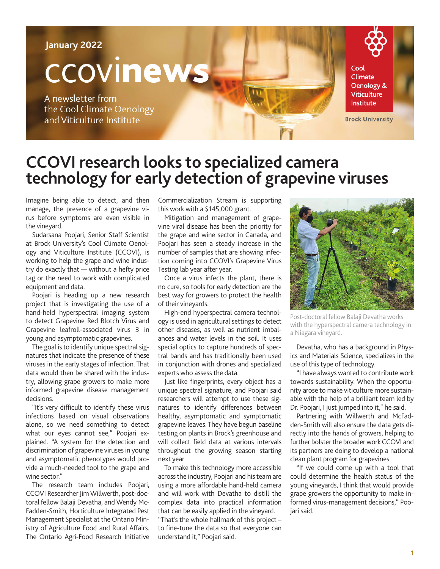#### **January 2022**

# ccovinews

A newsletter from the Cool Climate Oenology and Viticulture Institute

Cool **Climate** Oenology & **Viticulture Institute** 

**Brock University** 

# **CCOVI research looks to specialized camera technology for early detection of grapevine viruses**

Imagine being able to detect, and then manage, the presence of a grapevine virus before symptoms are even visible in the vineyard.

Sudarsana Poojari, Senior Staff Scientist at Brock University's Cool Climate Oenology and Viticulture Institute (CCOVI), is working to help the grape and wine industry do exactly that — without a hefty price tag or the need to work with complicated equipment and data.

Poojari is heading up a new research project that is investigating the use of a hand-held hyperspectral imaging system to detect Grapevine Red Blotch Virus and Grapevine leafroll-associated virus 3 in young and asymptomatic grapevines.

The goal is to identify unique spectral signatures that indicate the presence of these viruses in the early stages of infection. That data would then be shared with the industry, allowing grape growers to make more informed grapevine disease management decisions.

"It's very difficult to identify these virus infections based on visual observations alone, so we need something to detect what our eyes cannot see," Poojari explained. "A system for the detection and discrimination of grapevine viruses in young and asymptomatic phenotypes would provide a much-needed tool to the grape and wine sector."

The research team includes Poojari, CCOVI Researcher Jim Willwerth, post-doctoral fellow Balaji Devatha, and Wendy Mc-Fadden-Smith, Horticulture Integrated Pest Management Specialist at the Ontario Ministry of Agriculture Food and Rural Affairs. The Ontario Agri-Food Research Initiative

Commercialization Stream is supporting this work with a \$145,000 grant.

Mitigation and management of grapevine viral disease has been the priority for the grape and wine sector in Canada, and Poojari has seen a steady increase in the number of samples that are showing infection coming into CCOVI's Grapevine Virus Testing lab year after year.

Once a virus infects the plant, there is no cure, so tools for early detection are the best way for growers to protect the health of their vineyards.

High-end hyperspectral camera technology is used in agricultural settings to detect other diseases, as well as nutrient imbalances and water levels in the soil. It uses special optics to capture hundreds of spectral bands and has traditionally been used in conjunction with drones and specialized experts who assess the data.

Just like fingerprints, every object has a unique spectral signature, and Poojari said researchers will attempt to use these signatures to identify differences between healthy, asymptomatic and symptomatic grapevine leaves. They have begun baseline testing on plants in Brock's greenhouse and will collect field data at various intervals throughout the growing season starting next year.

To make this technology more accessible across the industry, Poojari and his team are using a more affordable hand-held camera and will work with Devatha to distill the complex data into practical information that can be easily applied in the vineyard. "That's the whole hallmark of this project – to fine-tune the data so that everyone can understand it," Poojari said.



Post-doctoral fellow Balaji Devatha works with the hyperspectral camera technology in a Niagara vineyard.

Devatha, who has a background in Physics and Materials Science, specializes in the use of this type of technology.

"I have always wanted to contribute work towards sustainability. When the opportunity arose to make viticulture more sustainable with the help of a brilliant team led by Dr. Poojari, I just jumped into it," he said.

Partnering with Willwerth and McFadden-Smith will also ensure the data gets directly into the hands of growers, helping to further bolster the broader work CCOVI and its partners are doing to develop a national clean plant program for grapevines.

"If we could come up with a tool that could determine the health status of the young vineyards, I think that would provide grape growers the opportunity to make informed virus-management decisions," Poojari said.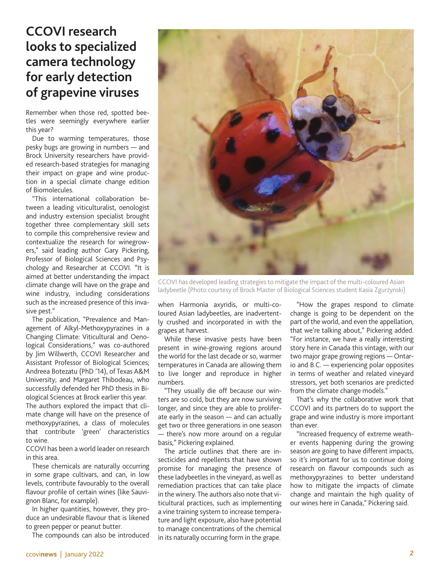# **CCOVI research looks to specialized camera technology for early detection of grapevine viruses**

Remember when those red, spotted beetles were seemingly everywhere earlier this year?

Due to warming temperatures, those pesky bugs are growing in numbers — and Brock University researchers have provided research-based strategies for managing their impact on grape and wine production in a special climate change edition of Biomolecules.

"This international collaboration between a leading viticulturalist, oenologist and industry extension specialist brought together three complementary skill sets to compile this comprehensive review and contextualize the research for winegrowers," said leading author Gary Pickering, Professor of Biological Sciences and Psychology and Researcher at CCOVI. "It is aimed at better understanding the impact climate change will have on the grape and wine industry, including considerations such as the increased presence of this invasive pest."

The publication, "Prevalence and Management of Alkyl-Methoxypyrazines in a Changing Climate: Viticultural and Oenological Considerations," was co-authored by Jim Willwerth, CCOVI Researcher and Assistant Professor of Biological Sciences; Andreea Botezatu (PhD '14), of Texas A&M University; and Margaret Thibodeau, who successfully defended her PhD thesis in Biological Sciences at Brock earlier this year. The authors explored the impact that climate change will have on the presence of methoxypyrazines, a class of molecules that contribute 'green' characteristics to wine.

CCOVI has been a world leader on research in this area.

These chemicals are naturally occurring in some grape cultivars, and can, in low levels, contribute favourably to the overall flavour profile of certain wines (like Sauvignon Blanc, for example).

In higher quantities, however, they produce an undesirable flavour that is likened to green pepper or peanut butter.

The compounds can also be introduced



CCOVI has developed leading strategies to mitigate the impact of the multi-coloured Asian ladybeetle (Photo courtesy of Brock Master of Biological Sciences student Kasia Zgurzynski)

when Harmonia axyridis, or multi-coloured Asian ladybeetles, are inadvertently crushed and incorporated in with the grapes at harvest.

While these invasive pests have been present in wine-growing regions around the world for the last decade or so, warmer temperatures in Canada are allowing them to live longer and reproduce in higher numbers.

"They usually die off because our winters are so cold, but they are now surviving longer, and since they are able to proliferate early in the season — and can actually get two or three generations in one season — there's now more around on a regular basis," Pickering explained.

The article outlines that there are insecticides and repellents that have shown promise for managing the presence of these ladybeetles in the vineyard, as well as remediation practices that can take place in the winery. The authors also note that viticultural practices, such as implementing a vine training system to increase temperature and light exposure, also have potential to manage concentrations of the chemical in its naturally occurring form in the grape.

"How the grapes respond to climate change is going to be dependent on the part of the world, and even the appellation, that we're talking about," Pickering added. "For instance, we have a really interesting story here in Canada this vintage, with our two major grape growing regions — Ontario and B.C. — experiencing polar opposites in terms of weather and related vineyard stressors, yet both scenarios are predicted from the climate change models."

That's why the collaborative work that CCOVI and its partners do to support the grape and wine industry is more important than ever.

"Increased frequency of extreme weather events happening during the growing season are going to have different impacts, so it's important for us to continue doing research on flavour compounds such as methoxypyrazines to better understand how to mitigate the impacts of climate change and maintain the high quality of our wines here in Canada," Pickering said.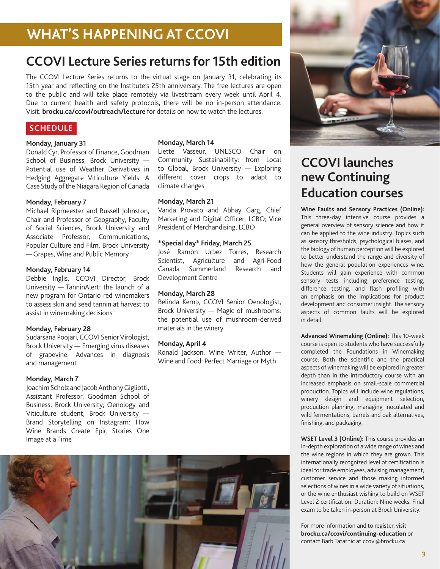# **WHAT'S HAPPENING AT CCOVI**

# **CCOVI Lecture Series returns for 15th edition**

The CCOVI Lecture Series returns to the virtual stage on January 31, celebrating its 15th year and reflecting on the Institute's 25th anniversary. The free lectures are open to the public and will take place remotely via livestream every week until April 4. Due to current health and safety protocols, there will be no in-person attendance. Visit: **[brocku.ca/ccovi/outreach/lecture](http://brocku.ca/ccovi/outreach/lecture)** for details on how to watch the lectures.

#### **SCHEDULE**

#### **Monday, January 31**

Donald Cyr, Professor of Finance, Goodman School of Business, Brock University — Potential use of Weather Derivatives in Hedging Aggregate Viticulture Yields: A Case Study of the Niagara Region of Canada

#### **Monday, February 7**

Michael Ripmeester and Russell Johnston, Chair and Professor of Geography, Faculty of Social Sciences, Brock University and Associate Professor, Communications, Popular Culture and Film, Brock University — Grapes, Wine and Public Memory

#### **Monday, February 14**

Debbie Inglis, CCOVI Director, Brock University — TanninAlert: the launch of a new program for Ontario red winemakers to assess skin and seed tannin at harvest to assist in winemaking decisions

#### **Monday, February 28**

Sudarsana Poojari, CCOVI Senior Virologist, Brock University — Emerging virus diseases of grapevine: Advances in diagnosis and management

#### **Monday, March 7**

Joachim Scholz and Jacob Anthony Gigliotti, Assistant Professor, Goodman School of Business, Brock University; Oenology and Viticulture student, Brock University — Brand Storytelling on Instagram: How Wine Brands Create Epic Stories One Image at a Time

#### **Monday, March 14**

Liette Vasseur, UNESCO Chair on Community Sustainability: from Local to Global, Brock University — Exploring different cover crops to adapt to climate changes

#### **Monday, March 21**

Vanda Provato and Abhay Garg, Chief Marketing and Digital Officer, LCBO; Vice President of Merchandising, LCBO

#### **\*Special day\* Friday, March 25**

José Ramòn Urbez Torres, Research Scientist, Agriculture and Agri-Food Canada Summerland Research and Development Centre

#### **Monday, March 28**

Belinda Kemp, CCOVI Senior Oenologist, Brock University — Magic of mushrooms: the potential use of mushroom-derived materials in the winery

#### **Monday, April 4**

Ronald Jackson, Wine Writer, Author — Wine and Food: Perfect Marriage or Myth





# **CCOVI launches new Continuing Education courses**

**Wine Faults and Sensory Practices (Online):**  This three-day intensive course provides a general overview of sensory science and how it can be applied to the wine industry. Topics such as sensory thresholds, psychological biases, and the biology of human perception will be explored to better understand the range and diversity of how the general population experiences wine. Students will gain experience with common sensory tests including preference testing, difference testing, and flash profiling with an emphasis on the implications for product development and consumer insight. The sensory aspects of common faults will be explored in detail.

**Advanced Winemaking (Online):** This 10-week course is open to students who have successfully completed the Foundations in Winemaking course. Both the scientific and the practical aspects of winemaking will be explored in greater depth than in the introductory course with an increased emphasis on small-scale commercial production. Topics will include wine regulations, winery design and equipment selection, production planning, managing inoculated and wild fermentations, barrels and oak alternatives, finishing, and packaging.

**WSET Level 3 (Online):** This course provides an in-depth exploration of a wide range of wines and the wine regions in which they are grown. This internationally recognized level of certification is ideal for trade employees, advising management, customer service and those making informed selections of wines in a wide variety of situations, or the wine enthusiast wishing to build on WSET Level 2 certification. Duration: Nine weeks. Final exam to be taken in-person at Brock University.

For more information and to register, visit **[brocku.ca/ccovi/continuing-education](http://brocku.ca/ccovi/continuing-education)** or contact Barb Tatarnic at [ccovi@brocku.ca](mailto:ccovi@brocku.ca)